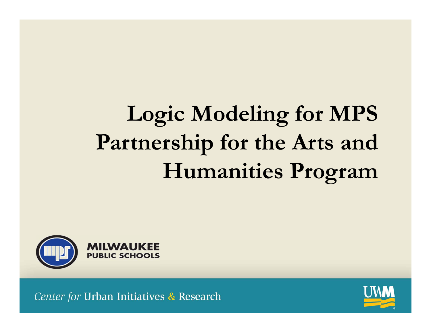# **Logic Modeling for MPS Partnership for the Arts and Humanities Program**



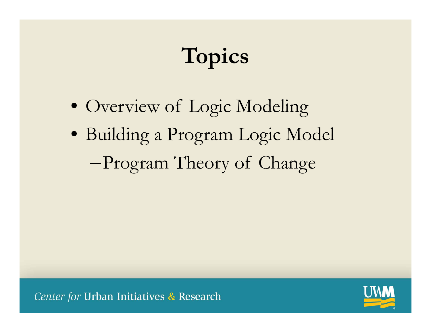# **Topics**

- Overview of Logic Modeling
- Building a Program Logic Model –Program Theory of Change

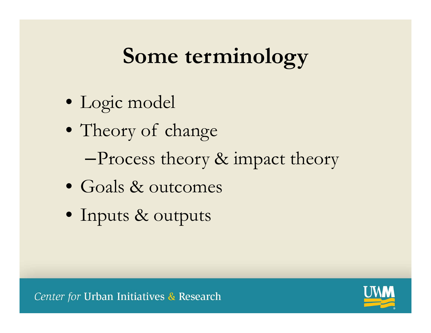#### **Some terminology**

- Logic model
- Theory of change
	- –Process theory & impact theory
- Goals & outcomes
- Inputs & outputs

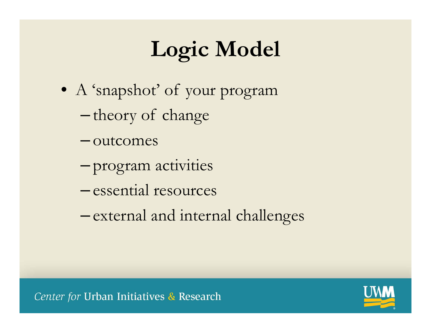# **Logic Model**

- A 'snapshot' of your program
	- theory of change
	- outcomes
	- –program activities
	- essential resources
	- –external and internal challenges

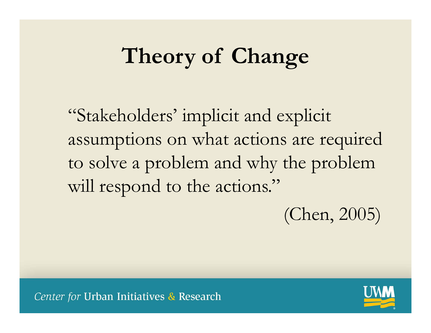## **Theory of Change**

"Stakeholders' implicit and explicit assumptions on what actions are required to solve a problem and why the problem will respond to the actions."

(Chen, 2005)

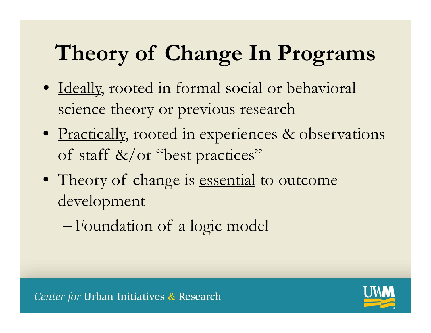# **Theory of Change In Programs**

- Ideally, rooted in formal social or behavioral science theory or previous research
- Practically, rooted in experiences & observations of staff &/or "best practices"
- Theory of change is <u>essential</u> to outcome development
	- –Foundation of a logic model

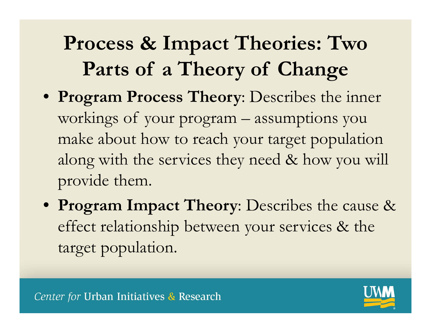### **Process & Impact Theories: Two Parts of a Theory of Change**

- **Program Process Theory**: Describes the inner workings of your program – assumptions you make about how to reach your target population along with the services they need & how you will provide them.
- **Program Impact Theory**: Describes the cause & effect relationship between your services & the target population.

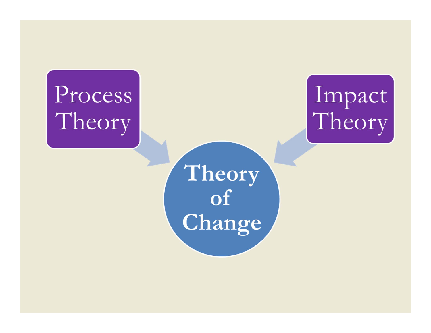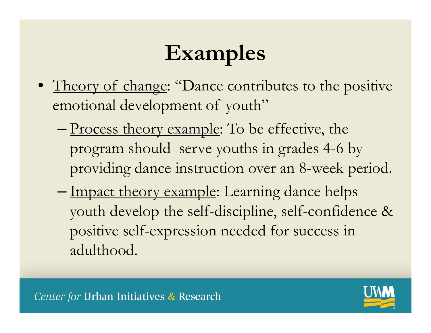# **Examples**

- Theory of change: "Dance contributes to the positive emotional development of youth"
	- –- <u>Process theory example</u>: To be effective, the program should serve youths in grades 4-6 by providing dance instruction over an 8-week period.
	- –– Impact theory example: Learning dance helps youth develop the self-discipline, self-confidence & positive self-expression needed for success in adulthood.

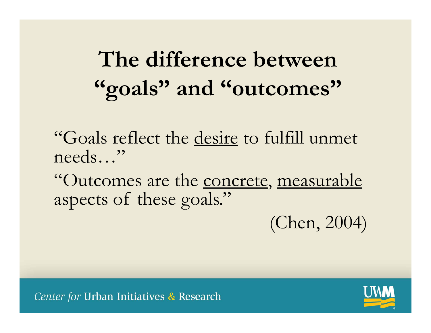# **The difference between "goals" and "outcomes"**

"Goals reflect the desire to fulfill unmet needs…"

"Outcomes are the concrete, measurable aspects of these goals."

(Chen, 2004)

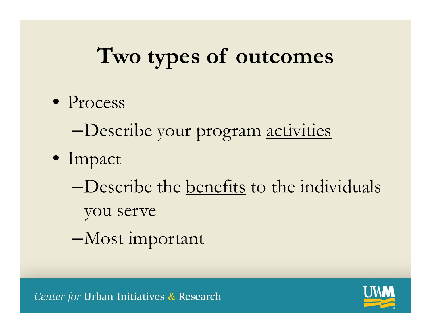### **Two types of outcomes**

- Process
	- –Describe your program activities
- Impact
	- –Describe the benefits to the individuals you serve
	- –Most important

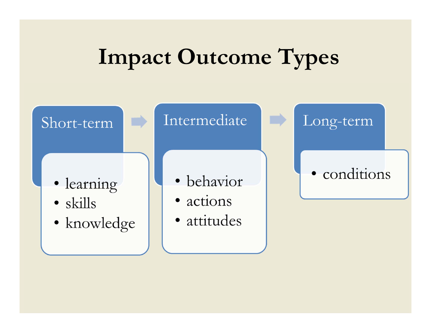### **Impact Outcome Types**

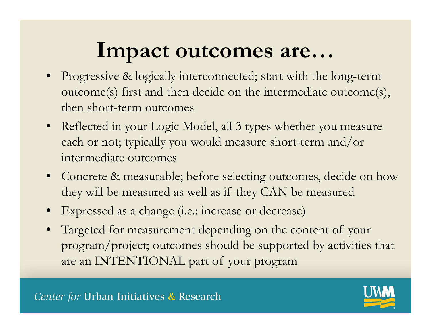#### **Impact outcomes are…**

- Progressive & logically interconnected; start with the long-term outcome(s) first and then decide on the intermediate outcome(s), then short-term outcomes
- Reflected in your Logic Model, all 3 types whether you measure each or not; typically you would measure short-term and/or intermediate outcomes
- Concrete & measurable; before selecting outcomes, decide on how they will be measured as well as if they CAN be measured
- •Expressed as a change (i.e.: increase or decrease)
- • Targeted for measurement depending on the content of your program/project; outcomes should be supported by activities that are an INTENTIONAL part of your program

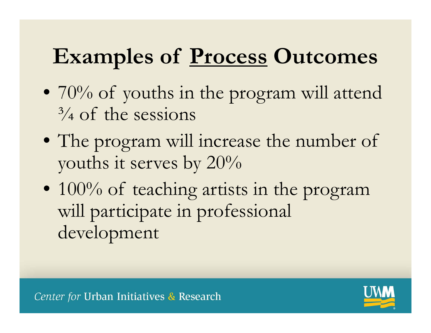## **Examples of Process Outcomes**

- $70\%$  of youths in the program will attend  $\frac{3}{4}$  of the sessions
- The program will increase the number of youths it serves by 20%
- 100% of teaching artists in the program will participate in professional development

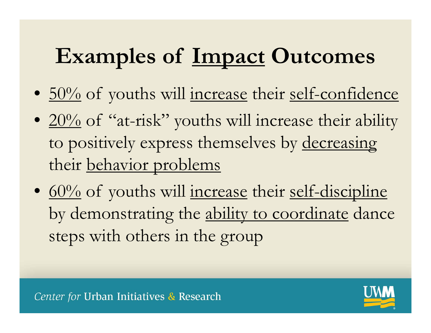# **Examples of Impact Outcomes**

- <u>50%</u> of youths will <u>increase</u> their <u>self-confidence</u>
- $20\%$  of "at-risk" youths will increase their ability to positively express themselves by decreasing their behavior problems
- <u>60%</u> of youths will <u>increase</u> their <u>self-discipline</u> by demonstrating the ability to coordinate dance steps with others in the group

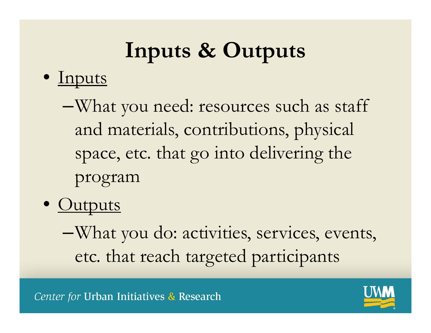# **Inputs & Outputs**

#### • Inputs

- –What you need: resources such as staff and materials, contributions, physical space, etc. that go into delivering the program
- <u>Outputs</u>

–What you do: activities, services, events, etc. that reach targeted participants

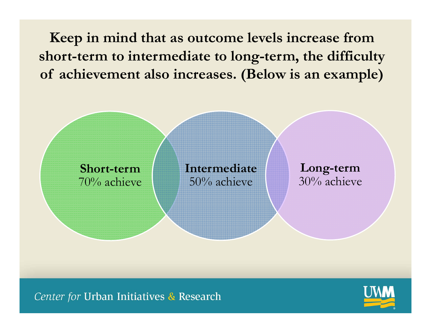**Keep in mind that as outcome levels increase from short-term to intermediate to long-term, the difficulty of achievement also increases. (Below is an example)**



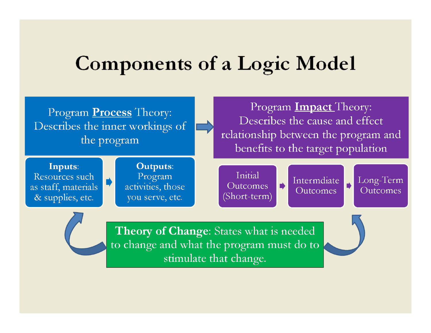#### **Components of a Logic Model**

Program **Process** Theory: Describes the inner workings of the program

Program **Impact** Theory: Describes the cause and effect relationship between the program and benefits to the target population

Inputs: Resources such as staff, materials & supplies, etc.

**Outputs:** Program activities, those you serve, etc.

Initial Outcomes (Short-term)

Intermdiate Outcomes

Long-Term Outcomes



Theory of Change: States what is needed to change and what the program must do to stimulate that change.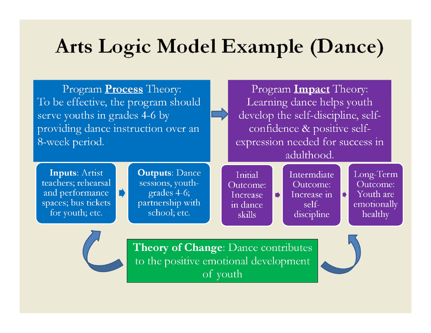#### Arts Logic Model Example (Dance)

Program **Process** Theory: To be effective, the program should serve youths in grades 4-6 by providing dance instruction over an 8-week period.

 $\blacksquare$ 

Program **Impact** Theory: Learning dance helps youth develop the self-discipline, selfconfidence & positive selfexpression needed for success in adulthood.

**Inputs: Artist** teachers; rehearsal and performance spaces; bus tickets for youth; etc.

**Outputs: Dance** sessions, youthgrades 4-6; partnership with school; etc.

Initial Outcome: Increase in dance skills

 $\blacksquare$ 

Intermdiate Outcome: Increase in  $self$ discipline

Long-Term Outcome: Youth are emotionally healthy

Theory of Change: Dance contributes to the positive emotional development of youth



 $\blacktriangleright$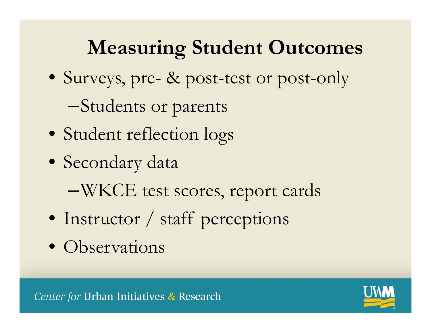#### **Measuring Student Outcomes**

- Surveys, pre- & post-test or post-only
	- –Students or parents
- Student reflection logs
- Secondary data
	- –WKCE test scores, report cards
- Instructor / staff perceptions
- Observations

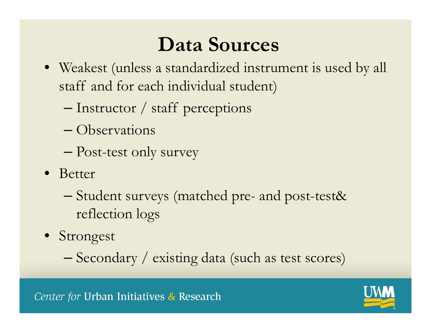#### **Data Sources**

- Weakest (unless a standardized instrument is used by all staff and for each individual student)
	- –Instructor / staff perceptions
	- Observations
	- –Post-test only survey
- Better
	- – Student surveys (matched pre- and post-test& reflection logs
- Strongest
	- –Secondary / existing data (such as test scores)

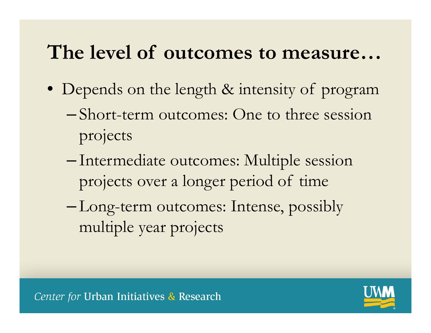#### **The level of outcomes to measure…**

- Depends on the length & intensity of program
	- – Short-term outcomes: One to three session projects
	- – Intermediate outcomes: Multiple session projects over a longer period of time
	- – Long-term outcomes: Intense, possibly multiple year projects